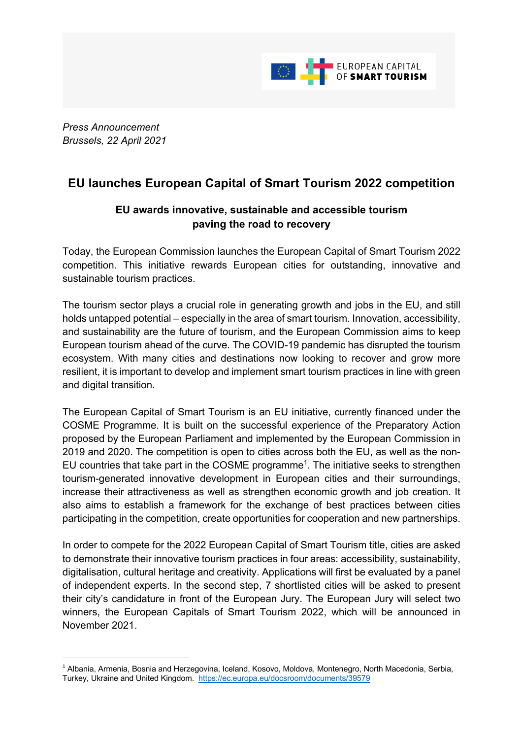

*Press Announcement Brussels, 22 April 2021*

## **EU launches European Capital of Smart Tourism 2022 competition**

## **EU awards innovative, sustainable and accessible tourism paving the road to recovery**

Today, the European Commission launches the European Capital of Smart Tourism 2022 competition. This initiative rewards European cities for outstanding, innovative and sustainable tourism practices.

The tourism sector plays a crucial role in generating growth and jobs in the EU, and still holds untapped potential – especially in the area of smart tourism. Innovation, accessibility, and sustainability are the future of tourism, and the European Commission aims to keep European tourism ahead of the curve. The COVID-19 pandemic has disrupted the tourism ecosystem. With many cities and destinations now looking to recover and grow more resilient, it is important to develop and implement smart tourism practices in line with green and digital transition.

The European Capital of Smart Tourism is an EU initiative, currently financed under the COSME Programme. It is built on the successful experience of the Preparatory Action proposed by the European Parliament and implemented by the European Commission in 2019 and 2020. The competition is open to cities across both the EU, as well as the non-EU countries that take part in the COSME programme<sup>1</sup>. The initiative seeks to strengthen tourism-generated innovative development in European cities and their surroundings, increase their attractiveness as well as strengthen economic growth and job creation. It also aims to establish a framework for the exchange of best practices between cities participating in the competition, create opportunities for cooperation and new partnerships.

In order to compete for the 2022 European Capital of Smart Tourism title, cities are asked to demonstrate their innovative tourism practices in four areas: accessibility, sustainability, digitalisation, cultural heritage and creativity. Applications will first be evaluated by a panel of independent experts. In the second step, 7 shortlisted cities will be asked to present their city's candidature in front of the European Jury. The European Jury will select two winners, the European Capitals of Smart Tourism 2022, which will be announced in November 2021.

<sup>&</sup>lt;sup>1</sup> Albania, Armenia, Bosnia and Herzegovina, Iceland, Kosovo, Moldova, Montenegro, North Macedonia, Serbia, Turkey, Ukraine and United Kingdom. https://ec.europa.eu/docsroom/documents/39579